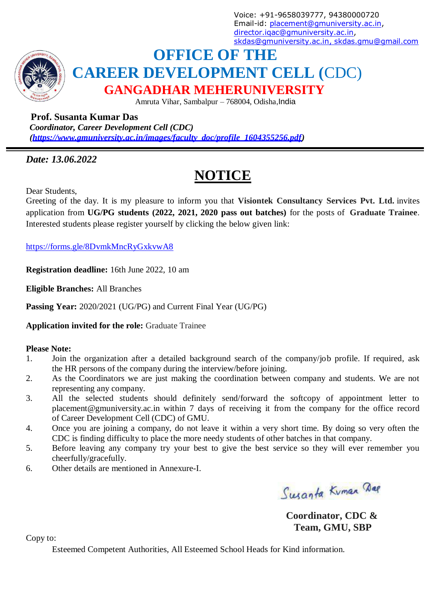Voice: +91-9658039777, 94380000720 Email-id: [placement@gmuniversity.ac.in,](mailto:placement@gmuniversity.ac.in) [director.iqac@gmuniversity.ac.in,](mailto:director.iqac@gmuniversity.ac.in) [skdas@gmuniversity.ac.in, skdas.gmu@gmail.com](mailto:skdas@gmuniversity.ac.in)



# **OFFICE OF THE CAREER DEVELOPMENT CELL (**CDC) **GANGADHAR MEHERUNIVERSITY**

Amruta Vihar, Sambalpur – 768004, Odisha,India

## **Prof. Susanta Kumar Das**

*Coordinator, Career Development Cell (CDC) [\(https://www.gmuniversity.ac.in/images/faculty\\_doc/profile\\_1604355256.pdf\)](https://www.gmuniversity.ac.in/images/faculty_doc/profile_1604355256.pdf)*

## *Date: 13.06.2022*

# **NOTICE**

Dear Students,

Greeting of the day. It is my pleasure to inform you that **Visiontek Consultancy Services Pvt. Ltd.** invites application from **UG/PG students (2022, 2021, 2020 pass out batches)** for the posts of **Graduate Trainee**. Interested students please register yourself by clicking the below given link:

<https://forms.gle/8DvmkMncRyGxkvwA8>

**Registration deadline:** 16th June 2022, 10 am

**Eligible Branches:** All Branches

**Passing Year:** 2020/2021 (UG/PG) and Current Final Year (UG/PG)

**Application invited for the role:** Graduate Trainee

### **Please Note:**

- 1. Join the organization after a detailed background search of the company/job profile. If required, ask the HR persons of the company during the interview/before joining.
- 2. As the Coordinators we are just making the coordination between company and students. We are not representing any company.
- 3. All the selected students should definitely send/forward the softcopy of appointment letter to placement@gmuniversity.ac.in within 7 days of receiving it from the company for the office record of Career Development Cell (CDC) of GMU.
- 4. Once you are joining a company, do not leave it within a very short time. By doing so very often the CDC is finding difficulty to place the more needy students of other batches in that company.
- 5. Before leaving any company try your best to give the best service so they will ever remember you cheerfully/gracefully.
- 6. Other details are mentioned in Annexure-I.

Susanta Kuman Dag

**Coordinator, CDC & Team, GMU, SBP**

Copy to:

Esteemed Competent Authorities, All Esteemed School Heads for Kind information.